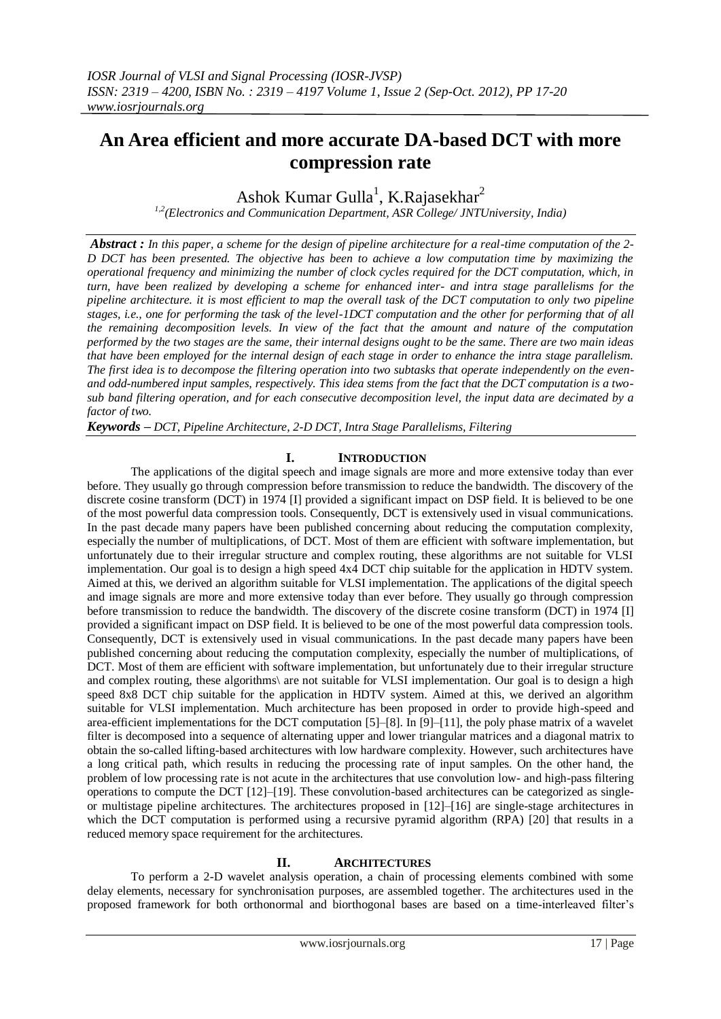# **An Area efficient and more accurate DA-based DCT with more compression rate**

Ashok Kumar Gulla<sup>1</sup>, K.Rajasekhar<sup>2</sup>

*1,2(Electronics and Communication Department, ASR College/ JNTUniversity, India)*

*Abstract : In this paper, a scheme for the design of pipeline architecture for a real-time computation of the 2- D DCT has been presented. The objective has been to achieve a low computation time by maximizing the operational frequency and minimizing the number of clock cycles required for the DCT computation, which, in turn, have been realized by developing a scheme for enhanced inter- and intra stage parallelisms for the pipeline architecture. it is most efficient to map the overall task of the DCT computation to only two pipeline stages, i.e., one for performing the task of the level-1DCT computation and the other for performing that of all the remaining decomposition levels. In view of the fact that the amount and nature of the computation performed by the two stages are the same, their internal designs ought to be the same. There are two main ideas that have been employed for the internal design of each stage in order to enhance the intra stage parallelism. The first idea is to decompose the filtering operation into two subtasks that operate independently on the evenand odd-numbered input samples, respectively. This idea stems from the fact that the DCT computation is a twosub band filtering operation, and for each consecutive decomposition level, the input data are decimated by a factor of two.*

*Keywords – DCT, Pipeline Architecture, 2-D DCT, Intra Stage Parallelisms, Filtering*

## **I. INTRODUCTION**

The applications of the digital speech and image signals are more and more extensive today than ever before. They usually go through compression before transmission to reduce the bandwidth. The discovery of the discrete cosine transform (DCT) in 1974 [I] provided a significant impact on DSP field. It is believed to be one of the most powerful data compression tools. Consequently, DCT is extensively used in visual communications. In the past decade many papers have been published concerning about reducing the computation complexity, especially the number of multiplications, of DCT. Most of them are efficient with software implementation, but unfortunately due to their irregular structure and complex routing, these algorithms are not suitable for VLSI implementation. Our goal is to design a high speed 4x4 DCT chip suitable for the application in HDTV system. Aimed at this, we derived an algorithm suitable for VLSI implementation. The applications of the digital speech and image signals are more and more extensive today than ever before. They usually go through compression before transmission to reduce the bandwidth. The discovery of the discrete cosine transform (DCT) in 1974 [I] provided a significant impact on DSP field. It is believed to be one of the most powerful data compression tools. Consequently, DCT is extensively used in visual communications. In the past decade many papers have been published concerning about reducing the computation complexity, especially the number of multiplications, of DCT. Most of them are efficient with software implementation, but unfortunately due to their irregular structure and complex routing, these algorithms\ are not suitable for VLSI implementation. Our goal is to design a high speed 8x8 DCT chip suitable for the application in HDTV system. Aimed at this, we derived an algorithm suitable for VLSI implementation. Much architecture has been proposed in order to provide high-speed and area-efficient implementations for the DCT computation [5]–[8]. In [9]–[11], the poly phase matrix of a wavelet filter is decomposed into a sequence of alternating upper and lower triangular matrices and a diagonal matrix to obtain the so-called lifting-based architectures with low hardware complexity. However, such architectures have a long critical path, which results in reducing the processing rate of input samples. On the other hand, the problem of low processing rate is not acute in the architectures that use convolution low- and high-pass filtering operations to compute the DCT [12]–[19]. These convolution-based architectures can be categorized as singleor multistage pipeline architectures. The architectures proposed in [12]–[16] are single-stage architectures in which the DCT computation is performed using a recursive pyramid algorithm (RPA) [20] that results in a reduced memory space requirement for the architectures.

## **II. ARCHITECTURES**

To perform a 2-D wavelet analysis operation, a chain of processing elements combined with some delay elements, necessary for synchronisation purposes, are assembled together. The architectures used in the proposed framework for both orthonormal and biorthogonal bases are based on a time-interleaved filter's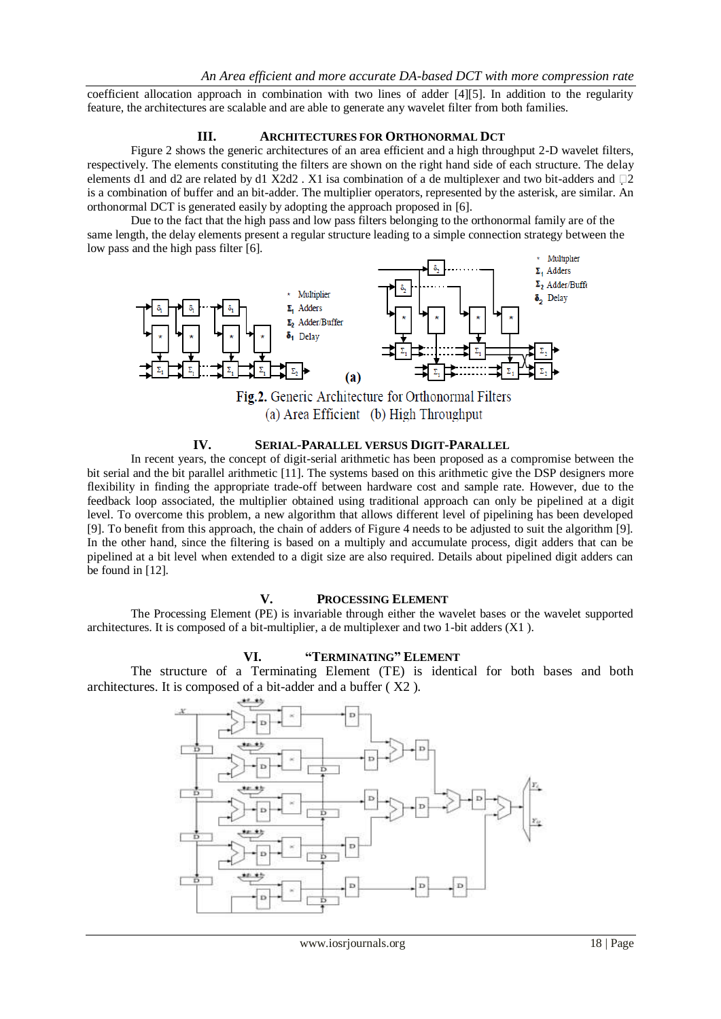coefficient allocation approach in combination with two lines of adder [4][5]. In addition to the regularity feature, the architectures are scalable and are able to generate any wavelet filter from both families.

## **III. ARCHITECTURES FOR ORTHONORMAL DCT**

Figure 2 shows the generic architectures of an area efficient and a high throughput 2-D wavelet filters, respectively. The elements constituting the filters are shown on the right hand side of each structure. The delay elements d1 and d2 are related by d1 X2d2 . X1 isa combination of a de multiplexer and two bit-adders and  $\Box$ 2 is a combination of buffer and an bit-adder. The multiplier operators, represented by the asterisk, are similar. An orthonormal DCT is generated easily by adopting the approach proposed in [6].

Due to the fact that the high pass and low pass filters belonging to the orthonormal family are of the same length, the delay elements present a regular structure leading to a simple connection strategy between the low pass and the high pass filter [6].



## **IV. SERIAL-PARALLEL VERSUS DIGIT-PARALLEL**

In recent years, the concept of digit-serial arithmetic has been proposed as a compromise between the bit serial and the bit parallel arithmetic [11]. The systems based on this arithmetic give the DSP designers more flexibility in finding the appropriate trade-off between hardware cost and sample rate. However, due to the feedback loop associated, the multiplier obtained using traditional approach can only be pipelined at a digit level. To overcome this problem, a new algorithm that allows different level of pipelining has been developed [9]. To benefit from this approach, the chain of adders of Figure 4 needs to be adjusted to suit the algorithm [9]. In the other hand, since the filtering is based on a multiply and accumulate process, digit adders that can be pipelined at a bit level when extended to a digit size are also required. Details about pipelined digit adders can be found in [12].

#### **V. PROCESSING ELEMENT**

The Processing Element (PE) is invariable through either the wavelet bases or the wavelet supported architectures. It is composed of a bit-multiplier, a de multiplexer and two 1-bit adders (X1 ).

## **VI. "TERMINATING" ELEMENT**

The structure of a Terminating Element (TE) is identical for both bases and both architectures. It is composed of a bit-adder and a buffer ( X2 ).

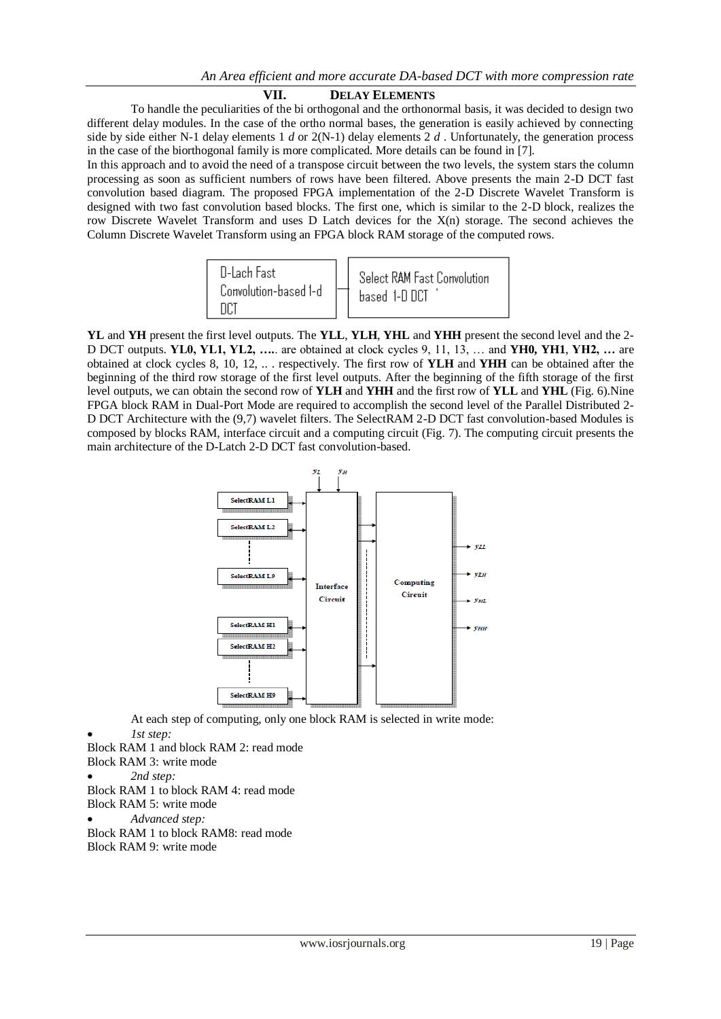## **VII. DELAY ELEMENTS**

To handle the peculiarities of the bi orthogonal and the orthonormal basis, it was decided to design two different delay modules. In the case of the ortho normal bases, the generation is easily achieved by connecting side by side either N-1 delay elements  $1 d$  or  $2(N-1)$  delay elements  $2 d$ . Unfortunately, the generation process in the case of the biorthogonal family is more complicated. More details can be found in [7].

In this approach and to avoid the need of a transpose circuit between the two levels, the system stars the column processing as soon as sufficient numbers of rows have been filtered. Above presents the main 2-D DCT fast convolution based diagram. The proposed FPGA implementation of the 2-D Discrete Wavelet Transform is designed with two fast convolution based blocks. The first one, which is similar to the 2-D block, realizes the row Discrete Wavelet Transform and uses D Latch devices for the X(n) storage. The second achieves the Column Discrete Wavelet Transform using an FPGA block RAM storage of the computed rows.



**YL** and **YH** present the first level outputs. The **YLL**, **YLH**, **YHL** and **YHH** present the second level and the 2- D DCT outputs. **YL0, YL1, YL2, ….**. are obtained at clock cycles 9, 11, 13, … and **YH0, YH1**, **YH2, …** are obtained at clock cycles 8, 10, 12, .. . respectively. The first row of **YLH** and **YHH** can be obtained after the beginning of the third row storage of the first level outputs. After the beginning of the fifth storage of the first level outputs, we can obtain the second row of **YLH** and **YHH** and the first row of **YLL** and **YHL** (Fig. 6).Nine FPGA block RAM in Dual-Port Mode are required to accomplish the second level of the Parallel Distributed 2- D DCT Architecture with the (9,7) wavelet filters. The SelectRAM 2-D DCT fast convolution-based Modules is composed by blocks RAM, interface circuit and a computing circuit (Fig. 7). The computing circuit presents the main architecture of the D-Latch 2-D DCT fast convolution-based.



At each step of computing, only one block RAM is selected in write mode:

*1st step:*

Block RAM 1 and block RAM 2: read mode

Block RAM 3: write mode

*2nd step:*

Block RAM 1 to block RAM 4: read mode

Block RAM 5: write mode

*Advanced step:*

Block RAM 1 to block RAM8: read mode Block RAM 9: write mode